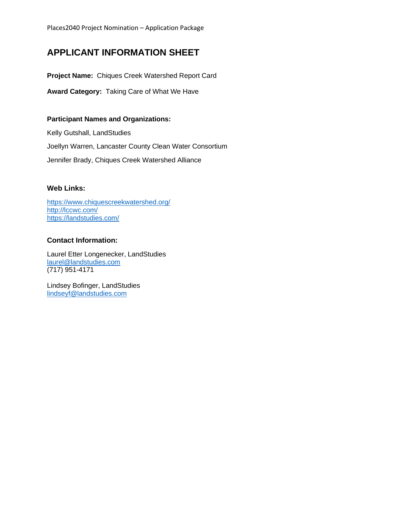# **APPLICANT INFORMATION SHEET**

**Project Name:** Chiques Creek Watershed Report Card

**Award Category:** Taking Care of What We Have

### **Participant Names and Organizations:**

Kelly Gutshall, LandStudies Joellyn Warren, Lancaster County Clean Water Consortium Jennifer Brady, Chiques Creek Watershed Alliance

## **Web Links:**

<https://www.chiquescreekwatershed.org/> <http://lccwc.com/> <https://landstudies.com/>

## **Contact Information:**

Laurel Etter Longenecker, LandStudies [laurel@landstudies.com](mailto:laurel@landstudies.com) (717) 951-4171

Lindsey Bofinger, LandStudies [lindseyf@landstudies.com](mailto:lindseyf@landstudies.com)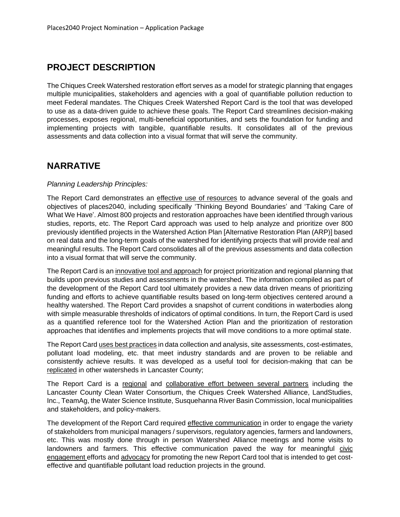# **PROJECT DESCRIPTION**

The Chiques Creek Watershed restoration effort serves as a model for strategic planning that engages multiple municipalities, stakeholders and agencies with a goal of quantifiable pollution reduction to meet Federal mandates. The Chiques Creek Watershed Report Card is the tool that was developed to use as a data-driven guide to achieve these goals. The Report Card streamlines decision-making processes, exposes regional, multi-beneficial opportunities, and sets the foundation for funding and implementing projects with tangible, quantifiable results. It consolidates all of the previous assessments and data collection into a visual format that will serve the community.

# **NARRATIVE**

#### *Planning Leadership Principles:*

The Report Card demonstrates an effective use of resources to advance several of the goals and objectives of places2040, including specifically 'Thinking Beyond Boundaries' and 'Taking Care of What We Have'. Almost 800 projects and restoration approaches have been identified through various studies, reports, etc. The Report Card approach was used to help analyze and prioritize over 800 previously identified projects in the Watershed Action Plan [Alternative Restoration Plan (ARP)] based on real data and the long-term goals of the watershed for identifying projects that will provide real and meaningful results. The Report Card consolidates all of the previous assessments and data collection into a visual format that will serve the community.

The Report Card is an innovative tool and approach for project prioritization and regional planning that builds upon previous studies and assessments in the watershed. The information compiled as part of the development of the Report Card tool ultimately provides a new data driven means of prioritizing funding and efforts to achieve quantifiable results based on long-term objectives centered around a healthy watershed. The Report Card provides a snapshot of current conditions in waterbodies along with simple measurable thresholds of indicators of optimal conditions. In turn, the Report Card is used as a quantified reference tool for the Watershed Action Plan and the prioritization of restoration approaches that identifies and implements projects that will move conditions to a more optimal state.

The Report Card uses best practices in data collection and analysis, site assessments, cost-estimates, pollutant load modeling, etc. that meet industry standards and are proven to be reliable and consistently achieve results. It was developed as a useful tool for decision-making that can be replicated in other watersheds in Lancaster County;

The Report Card is a regional and collaborative effort between several partners including the Lancaster County Clean Water Consortium, the Chiques Creek Watershed Alliance, LandStudies, Inc., TeamAg, the Water Science Institute, Susquehanna River Basin Commission, local municipalities and stakeholders, and policy-makers.

The development of the Report Card required effective communication in order to engage the variety of stakeholders from municipal managers / supervisors, regulatory agencies, farmers and landowners, etc. This was mostly done through in person Watershed Alliance meetings and home visits to landowners and farmers. This effective communication paved the way for meaningful civic engagement efforts and advocacy for promoting the new Report Card tool that is intended to get costeffective and quantifiable pollutant load reduction projects in the ground.